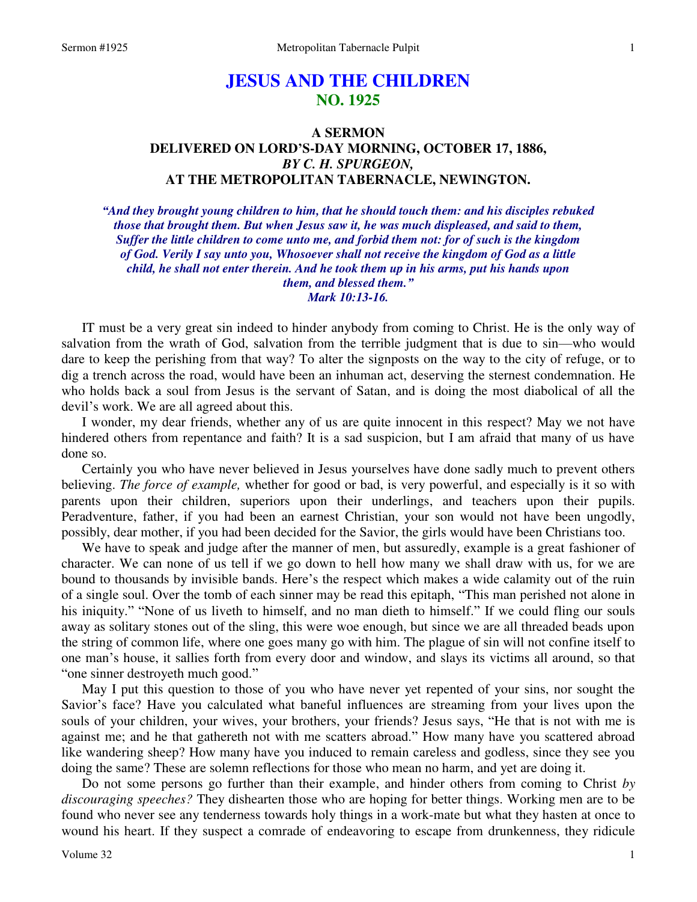# **JESUS AND THE CHILDREN NO. 1925**

# **A SERMON DELIVERED ON LORD'S-DAY MORNING, OCTOBER 17, 1886,**  *BY C. H. SPURGEON,*  **AT THE METROPOLITAN TABERNACLE, NEWINGTON.**

*"And they brought young children to him, that he should touch them: and his disciples rebuked those that brought them. But when Jesus saw it, he was much displeased, and said to them, Suffer the little children to come unto me, and forbid them not: for of such is the kingdom of God. Verily I say unto you, Whosoever shall not receive the kingdom of God as a little child, he shall not enter therein. And he took them up in his arms, put his hands upon them, and blessed them." Mark 10:13-16.* 

IT must be a very great sin indeed to hinder anybody from coming to Christ. He is the only way of salvation from the wrath of God, salvation from the terrible judgment that is due to sin—who would dare to keep the perishing from that way? To alter the signposts on the way to the city of refuge, or to dig a trench across the road, would have been an inhuman act, deserving the sternest condemnation. He who holds back a soul from Jesus is the servant of Satan, and is doing the most diabolical of all the devil's work. We are all agreed about this.

 I wonder, my dear friends, whether any of us are quite innocent in this respect? May we not have hindered others from repentance and faith? It is a sad suspicion, but I am afraid that many of us have done so.

 Certainly you who have never believed in Jesus yourselves have done sadly much to prevent others believing. *The force of example,* whether for good or bad, is very powerful, and especially is it so with parents upon their children, superiors upon their underlings, and teachers upon their pupils. Peradventure, father, if you had been an earnest Christian, your son would not have been ungodly, possibly, dear mother, if you had been decided for the Savior, the girls would have been Christians too.

 We have to speak and judge after the manner of men, but assuredly, example is a great fashioner of character. We can none of us tell if we go down to hell how many we shall draw with us, for we are bound to thousands by invisible bands. Here's the respect which makes a wide calamity out of the ruin of a single soul. Over the tomb of each sinner may be read this epitaph, "This man perished not alone in his iniquity." "None of us liveth to himself, and no man dieth to himself." If we could fling our souls away as solitary stones out of the sling, this were woe enough, but since we are all threaded beads upon the string of common life, where one goes many go with him. The plague of sin will not confine itself to one man's house, it sallies forth from every door and window, and slays its victims all around, so that "one sinner destroyeth much good."

 May I put this question to those of you who have never yet repented of your sins, nor sought the Savior's face? Have you calculated what baneful influences are streaming from your lives upon the souls of your children, your wives, your brothers, your friends? Jesus says, "He that is not with me is against me; and he that gathereth not with me scatters abroad." How many have you scattered abroad like wandering sheep? How many have you induced to remain careless and godless, since they see you doing the same? These are solemn reflections for those who mean no harm, and yet are doing it.

 Do not some persons go further than their example, and hinder others from coming to Christ *by discouraging speeches?* They dishearten those who are hoping for better things. Working men are to be found who never see any tenderness towards holy things in a work-mate but what they hasten at once to wound his heart. If they suspect a comrade of endeavoring to escape from drunkenness, they ridicule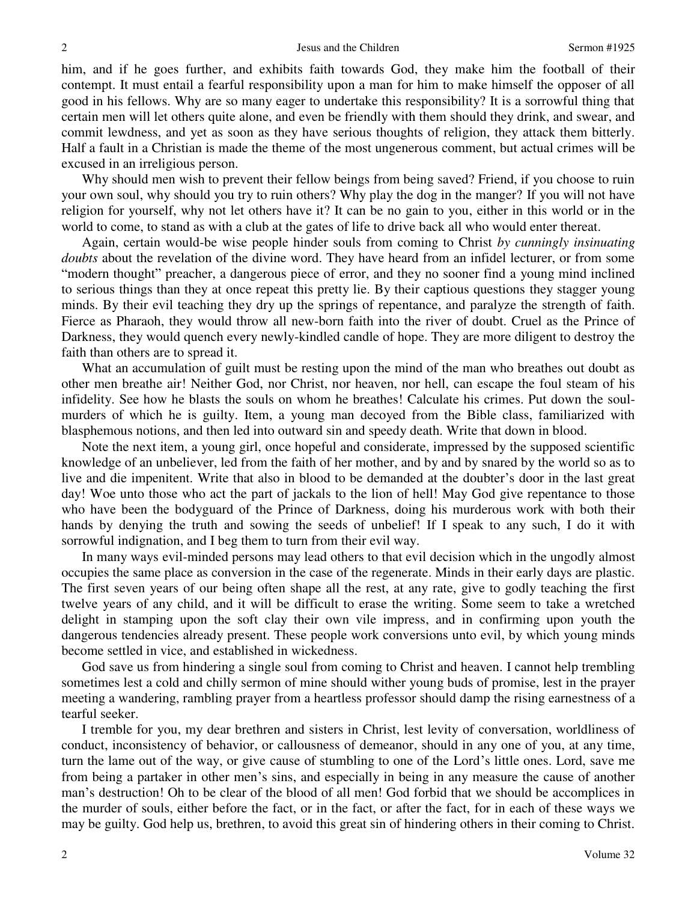him, and if he goes further, and exhibits faith towards God, they make him the football of their contempt. It must entail a fearful responsibility upon a man for him to make himself the opposer of all good in his fellows. Why are so many eager to undertake this responsibility? It is a sorrowful thing that certain men will let others quite alone, and even be friendly with them should they drink, and swear, and commit lewdness, and yet as soon as they have serious thoughts of religion, they attack them bitterly. Half a fault in a Christian is made the theme of the most ungenerous comment, but actual crimes will be excused in an irreligious person.

 Why should men wish to prevent their fellow beings from being saved? Friend, if you choose to ruin your own soul, why should you try to ruin others? Why play the dog in the manger? If you will not have religion for yourself, why not let others have it? It can be no gain to you, either in this world or in the world to come, to stand as with a club at the gates of life to drive back all who would enter thereat.

 Again, certain would-be wise people hinder souls from coming to Christ *by cunningly insinuating doubts* about the revelation of the divine word. They have heard from an infidel lecturer, or from some "modern thought" preacher, a dangerous piece of error, and they no sooner find a young mind inclined to serious things than they at once repeat this pretty lie. By their captious questions they stagger young minds. By their evil teaching they dry up the springs of repentance, and paralyze the strength of faith. Fierce as Pharaoh, they would throw all new-born faith into the river of doubt. Cruel as the Prince of Darkness, they would quench every newly-kindled candle of hope. They are more diligent to destroy the faith than others are to spread it.

 What an accumulation of guilt must be resting upon the mind of the man who breathes out doubt as other men breathe air! Neither God, nor Christ, nor heaven, nor hell, can escape the foul steam of his infidelity. See how he blasts the souls on whom he breathes! Calculate his crimes. Put down the soulmurders of which he is guilty. Item, a young man decoyed from the Bible class, familiarized with blasphemous notions, and then led into outward sin and speedy death. Write that down in blood.

 Note the next item, a young girl, once hopeful and considerate, impressed by the supposed scientific knowledge of an unbeliever, led from the faith of her mother, and by and by snared by the world so as to live and die impenitent. Write that also in blood to be demanded at the doubter's door in the last great day! Woe unto those who act the part of jackals to the lion of hell! May God give repentance to those who have been the bodyguard of the Prince of Darkness, doing his murderous work with both their hands by denying the truth and sowing the seeds of unbelief! If I speak to any such, I do it with sorrowful indignation, and I beg them to turn from their evil way.

 In many ways evil-minded persons may lead others to that evil decision which in the ungodly almost occupies the same place as conversion in the case of the regenerate. Minds in their early days are plastic. The first seven years of our being often shape all the rest, at any rate, give to godly teaching the first twelve years of any child, and it will be difficult to erase the writing. Some seem to take a wretched delight in stamping upon the soft clay their own vile impress, and in confirming upon youth the dangerous tendencies already present. These people work conversions unto evil, by which young minds become settled in vice, and established in wickedness.

 God save us from hindering a single soul from coming to Christ and heaven. I cannot help trembling sometimes lest a cold and chilly sermon of mine should wither young buds of promise, lest in the prayer meeting a wandering, rambling prayer from a heartless professor should damp the rising earnestness of a tearful seeker.

 I tremble for you, my dear brethren and sisters in Christ, lest levity of conversation, worldliness of conduct, inconsistency of behavior, or callousness of demeanor, should in any one of you, at any time, turn the lame out of the way, or give cause of stumbling to one of the Lord's little ones. Lord, save me from being a partaker in other men's sins, and especially in being in any measure the cause of another man's destruction! Oh to be clear of the blood of all men! God forbid that we should be accomplices in the murder of souls, either before the fact, or in the fact, or after the fact, for in each of these ways we may be guilty. God help us, brethren, to avoid this great sin of hindering others in their coming to Christ.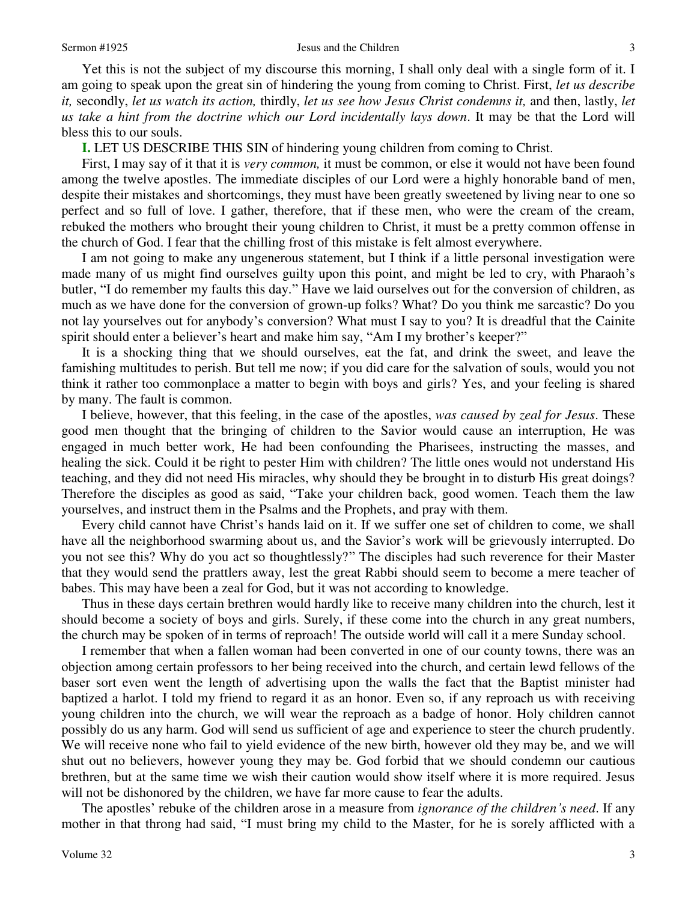Yet this is not the subject of my discourse this morning, I shall only deal with a single form of it. I am going to speak upon the great sin of hindering the young from coming to Christ. First, *let us describe it,* secondly, *let us watch its action,* thirdly, *let us see how Jesus Christ condemns it,* and then, lastly, *let us take a hint from the doctrine which our Lord incidentally lays down*. It may be that the Lord will bless this to our souls.

**I.** LET US DESCRIBE THIS SIN of hindering young children from coming to Christ.

 First, I may say of it that it is *very common,* it must be common, or else it would not have been found among the twelve apostles. The immediate disciples of our Lord were a highly honorable band of men, despite their mistakes and shortcomings, they must have been greatly sweetened by living near to one so perfect and so full of love. I gather, therefore, that if these men, who were the cream of the cream, rebuked the mothers who brought their young children to Christ, it must be a pretty common offense in the church of God. I fear that the chilling frost of this mistake is felt almost everywhere.

 I am not going to make any ungenerous statement, but I think if a little personal investigation were made many of us might find ourselves guilty upon this point, and might be led to cry, with Pharaoh's butler, "I do remember my faults this day." Have we laid ourselves out for the conversion of children, as much as we have done for the conversion of grown-up folks? What? Do you think me sarcastic? Do you not lay yourselves out for anybody's conversion? What must I say to you? It is dreadful that the Cainite spirit should enter a believer's heart and make him say, "Am I my brother's keeper?"

 It is a shocking thing that we should ourselves, eat the fat, and drink the sweet, and leave the famishing multitudes to perish. But tell me now; if you did care for the salvation of souls, would you not think it rather too commonplace a matter to begin with boys and girls? Yes, and your feeling is shared by many. The fault is common.

 I believe, however, that this feeling, in the case of the apostles, *was caused by zeal for Jesus*. These good men thought that the bringing of children to the Savior would cause an interruption, He was engaged in much better work, He had been confounding the Pharisees, instructing the masses, and healing the sick. Could it be right to pester Him with children? The little ones would not understand His teaching, and they did not need His miracles, why should they be brought in to disturb His great doings? Therefore the disciples as good as said, "Take your children back, good women. Teach them the law yourselves, and instruct them in the Psalms and the Prophets, and pray with them.

 Every child cannot have Christ's hands laid on it. If we suffer one set of children to come, we shall have all the neighborhood swarming about us, and the Savior's work will be grievously interrupted. Do you not see this? Why do you act so thoughtlessly?" The disciples had such reverence for their Master that they would send the prattlers away, lest the great Rabbi should seem to become a mere teacher of babes. This may have been a zeal for God, but it was not according to knowledge.

 Thus in these days certain brethren would hardly like to receive many children into the church, lest it should become a society of boys and girls. Surely, if these come into the church in any great numbers, the church may be spoken of in terms of reproach! The outside world will call it a mere Sunday school.

 I remember that when a fallen woman had been converted in one of our county towns, there was an objection among certain professors to her being received into the church, and certain lewd fellows of the baser sort even went the length of advertising upon the walls the fact that the Baptist minister had baptized a harlot. I told my friend to regard it as an honor. Even so, if any reproach us with receiving young children into the church, we will wear the reproach as a badge of honor. Holy children cannot possibly do us any harm. God will send us sufficient of age and experience to steer the church prudently. We will receive none who fail to yield evidence of the new birth, however old they may be, and we will shut out no believers, however young they may be. God forbid that we should condemn our cautious brethren, but at the same time we wish their caution would show itself where it is more required. Jesus will not be dishonored by the children, we have far more cause to fear the adults.

 The apostles' rebuke of the children arose in a measure from *ignorance of the children's need*. If any mother in that throng had said, "I must bring my child to the Master, for he is sorely afflicted with a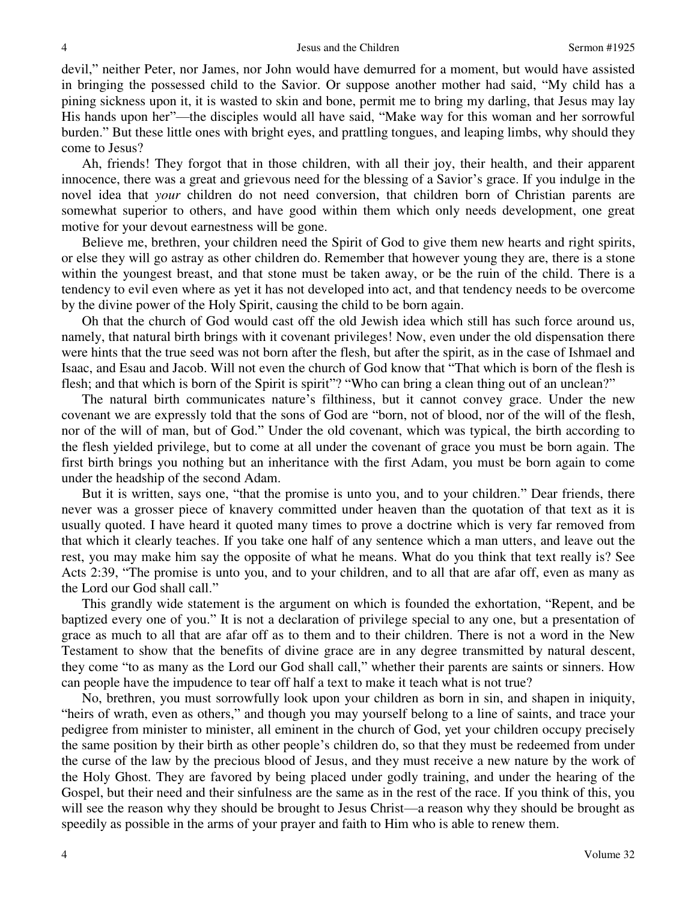devil," neither Peter, nor James, nor John would have demurred for a moment, but would have assisted in bringing the possessed child to the Savior. Or suppose another mother had said, "My child has a pining sickness upon it, it is wasted to skin and bone, permit me to bring my darling, that Jesus may lay His hands upon her"—the disciples would all have said, "Make way for this woman and her sorrowful burden." But these little ones with bright eyes, and prattling tongues, and leaping limbs, why should they come to Jesus?

 Ah, friends! They forgot that in those children, with all their joy, their health, and their apparent innocence, there was a great and grievous need for the blessing of a Savior's grace. If you indulge in the novel idea that *your* children do not need conversion, that children born of Christian parents are somewhat superior to others, and have good within them which only needs development, one great motive for your devout earnestness will be gone.

 Believe me, brethren, your children need the Spirit of God to give them new hearts and right spirits, or else they will go astray as other children do. Remember that however young they are, there is a stone within the youngest breast, and that stone must be taken away, or be the ruin of the child. There is a tendency to evil even where as yet it has not developed into act, and that tendency needs to be overcome by the divine power of the Holy Spirit, causing the child to be born again.

 Oh that the church of God would cast off the old Jewish idea which still has such force around us, namely, that natural birth brings with it covenant privileges! Now, even under the old dispensation there were hints that the true seed was not born after the flesh, but after the spirit, as in the case of Ishmael and Isaac, and Esau and Jacob. Will not even the church of God know that "That which is born of the flesh is flesh; and that which is born of the Spirit is spirit"? "Who can bring a clean thing out of an unclean?"

 The natural birth communicates nature's filthiness, but it cannot convey grace. Under the new covenant we are expressly told that the sons of God are "born, not of blood, nor of the will of the flesh, nor of the will of man, but of God." Under the old covenant, which was typical, the birth according to the flesh yielded privilege, but to come at all under the covenant of grace you must be born again. The first birth brings you nothing but an inheritance with the first Adam, you must be born again to come under the headship of the second Adam.

 But it is written, says one, "that the promise is unto you, and to your children." Dear friends, there never was a grosser piece of knavery committed under heaven than the quotation of that text as it is usually quoted. I have heard it quoted many times to prove a doctrine which is very far removed from that which it clearly teaches. If you take one half of any sentence which a man utters, and leave out the rest, you may make him say the opposite of what he means. What do you think that text really is? See Acts 2:39, "The promise is unto you, and to your children, and to all that are afar off, even as many as the Lord our God shall call."

 This grandly wide statement is the argument on which is founded the exhortation, "Repent, and be baptized every one of you." It is not a declaration of privilege special to any one, but a presentation of grace as much to all that are afar off as to them and to their children. There is not a word in the New Testament to show that the benefits of divine grace are in any degree transmitted by natural descent, they come "to as many as the Lord our God shall call," whether their parents are saints or sinners. How can people have the impudence to tear off half a text to make it teach what is not true?

 No, brethren, you must sorrowfully look upon your children as born in sin, and shapen in iniquity, "heirs of wrath, even as others," and though you may yourself belong to a line of saints, and trace your pedigree from minister to minister, all eminent in the church of God, yet your children occupy precisely the same position by their birth as other people's children do, so that they must be redeemed from under the curse of the law by the precious blood of Jesus, and they must receive a new nature by the work of the Holy Ghost. They are favored by being placed under godly training, and under the hearing of the Gospel, but their need and their sinfulness are the same as in the rest of the race. If you think of this, you will see the reason why they should be brought to Jesus Christ—a reason why they should be brought as speedily as possible in the arms of your prayer and faith to Him who is able to renew them.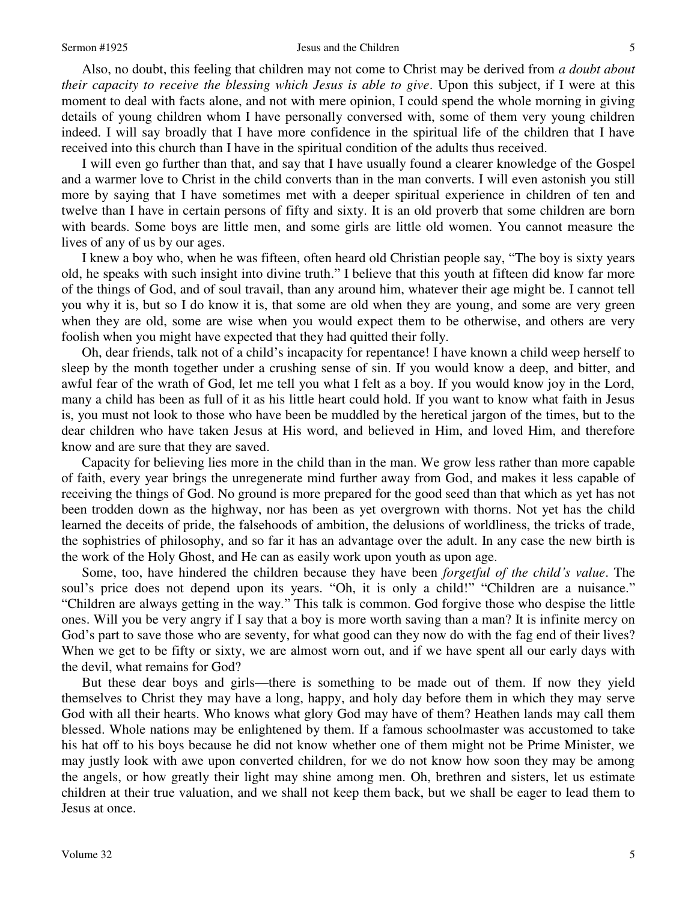#### Sermon #1925 **Sermon #1925** Jesus and the Children 5

 Also, no doubt, this feeling that children may not come to Christ may be derived from *a doubt about their capacity to receive the blessing which Jesus is able to give*. Upon this subject, if I were at this moment to deal with facts alone, and not with mere opinion, I could spend the whole morning in giving details of young children whom I have personally conversed with, some of them very young children indeed. I will say broadly that I have more confidence in the spiritual life of the children that I have received into this church than I have in the spiritual condition of the adults thus received.

 I will even go further than that, and say that I have usually found a clearer knowledge of the Gospel and a warmer love to Christ in the child converts than in the man converts. I will even astonish you still more by saying that I have sometimes met with a deeper spiritual experience in children of ten and twelve than I have in certain persons of fifty and sixty. It is an old proverb that some children are born with beards. Some boys are little men, and some girls are little old women. You cannot measure the lives of any of us by our ages.

 I knew a boy who, when he was fifteen, often heard old Christian people say, "The boy is sixty years old, he speaks with such insight into divine truth." I believe that this youth at fifteen did know far more of the things of God, and of soul travail, than any around him, whatever their age might be. I cannot tell you why it is, but so I do know it is, that some are old when they are young, and some are very green when they are old, some are wise when you would expect them to be otherwise, and others are very foolish when you might have expected that they had quitted their folly.

 Oh, dear friends, talk not of a child's incapacity for repentance! I have known a child weep herself to sleep by the month together under a crushing sense of sin. If you would know a deep, and bitter, and awful fear of the wrath of God, let me tell you what I felt as a boy. If you would know joy in the Lord, many a child has been as full of it as his little heart could hold. If you want to know what faith in Jesus is, you must not look to those who have been be muddled by the heretical jargon of the times, but to the dear children who have taken Jesus at His word, and believed in Him, and loved Him, and therefore know and are sure that they are saved.

 Capacity for believing lies more in the child than in the man. We grow less rather than more capable of faith, every year brings the unregenerate mind further away from God, and makes it less capable of receiving the things of God. No ground is more prepared for the good seed than that which as yet has not been trodden down as the highway, nor has been as yet overgrown with thorns. Not yet has the child learned the deceits of pride, the falsehoods of ambition, the delusions of worldliness, the tricks of trade, the sophistries of philosophy, and so far it has an advantage over the adult. In any case the new birth is the work of the Holy Ghost, and He can as easily work upon youth as upon age.

 Some, too, have hindered the children because they have been *forgetful of the child's value*. The soul's price does not depend upon its years. "Oh, it is only a child!" "Children are a nuisance." "Children are always getting in the way." This talk is common. God forgive those who despise the little ones. Will you be very angry if I say that a boy is more worth saving than a man? It is infinite mercy on God's part to save those who are seventy, for what good can they now do with the fag end of their lives? When we get to be fifty or sixty, we are almost worn out, and if we have spent all our early days with the devil, what remains for God?

 But these dear boys and girls—there is something to be made out of them. If now they yield themselves to Christ they may have a long, happy, and holy day before them in which they may serve God with all their hearts. Who knows what glory God may have of them? Heathen lands may call them blessed. Whole nations may be enlightened by them. If a famous schoolmaster was accustomed to take his hat off to his boys because he did not know whether one of them might not be Prime Minister, we may justly look with awe upon converted children, for we do not know how soon they may be among the angels, or how greatly their light may shine among men. Oh, brethren and sisters, let us estimate children at their true valuation, and we shall not keep them back, but we shall be eager to lead them to Jesus at once.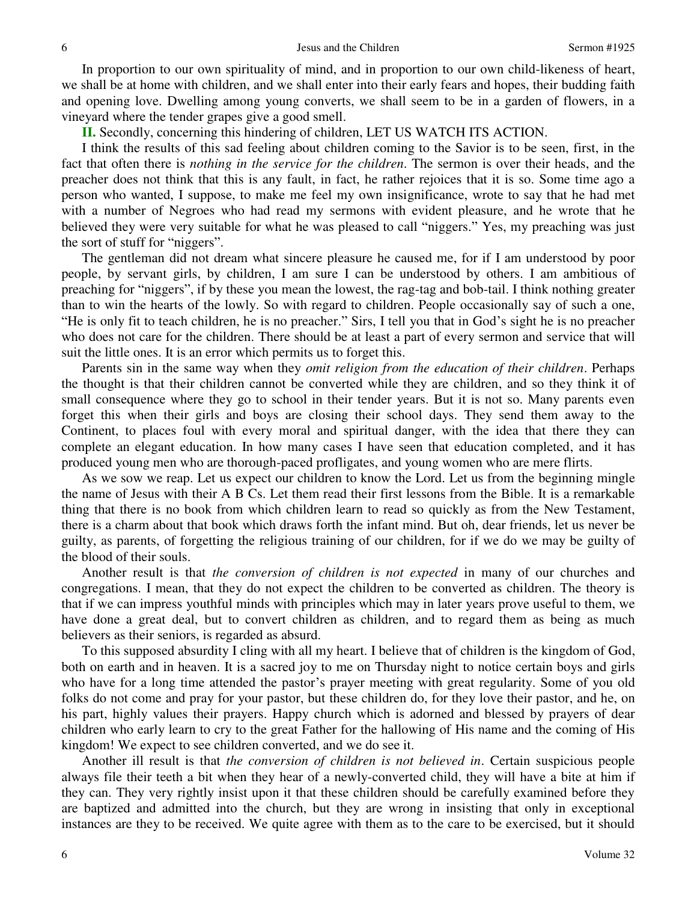In proportion to our own spirituality of mind, and in proportion to our own child-likeness of heart, we shall be at home with children, and we shall enter into their early fears and hopes, their budding faith and opening love. Dwelling among young converts, we shall seem to be in a garden of flowers, in a vineyard where the tender grapes give a good smell.

**II.** Secondly, concerning this hindering of children, LET US WATCH ITS ACTION.

 I think the results of this sad feeling about children coming to the Savior is to be seen, first, in the fact that often there is *nothing in the service for the children*. The sermon is over their heads, and the preacher does not think that this is any fault, in fact, he rather rejoices that it is so. Some time ago a person who wanted, I suppose, to make me feel my own insignificance, wrote to say that he had met with a number of Negroes who had read my sermons with evident pleasure, and he wrote that he believed they were very suitable for what he was pleased to call "niggers." Yes, my preaching was just the sort of stuff for "niggers".

 The gentleman did not dream what sincere pleasure he caused me, for if I am understood by poor people, by servant girls, by children, I am sure I can be understood by others. I am ambitious of preaching for "niggers", if by these you mean the lowest, the rag-tag and bob-tail. I think nothing greater than to win the hearts of the lowly. So with regard to children. People occasionally say of such a one, "He is only fit to teach children, he is no preacher." Sirs, I tell you that in God's sight he is no preacher who does not care for the children. There should be at least a part of every sermon and service that will suit the little ones. It is an error which permits us to forget this.

 Parents sin in the same way when they *omit religion from the education of their children*. Perhaps the thought is that their children cannot be converted while they are children, and so they think it of small consequence where they go to school in their tender years. But it is not so. Many parents even forget this when their girls and boys are closing their school days. They send them away to the Continent, to places foul with every moral and spiritual danger, with the idea that there they can complete an elegant education. In how many cases I have seen that education completed, and it has produced young men who are thorough-paced profligates, and young women who are mere flirts.

 As we sow we reap. Let us expect our children to know the Lord. Let us from the beginning mingle the name of Jesus with their A B Cs. Let them read their first lessons from the Bible. It is a remarkable thing that there is no book from which children learn to read so quickly as from the New Testament, there is a charm about that book which draws forth the infant mind. But oh, dear friends, let us never be guilty, as parents, of forgetting the religious training of our children, for if we do we may be guilty of the blood of their souls.

 Another result is that *the conversion of children is not expected* in many of our churches and congregations. I mean, that they do not expect the children to be converted as children. The theory is that if we can impress youthful minds with principles which may in later years prove useful to them, we have done a great deal, but to convert children as children, and to regard them as being as much believers as their seniors, is regarded as absurd.

 To this supposed absurdity I cling with all my heart. I believe that of children is the kingdom of God, both on earth and in heaven. It is a sacred joy to me on Thursday night to notice certain boys and girls who have for a long time attended the pastor's prayer meeting with great regularity. Some of you old folks do not come and pray for your pastor, but these children do, for they love their pastor, and he, on his part, highly values their prayers. Happy church which is adorned and blessed by prayers of dear children who early learn to cry to the great Father for the hallowing of His name and the coming of His kingdom! We expect to see children converted, and we do see it.

 Another ill result is that *the conversion of children is not believed in*. Certain suspicious people always file their teeth a bit when they hear of a newly-converted child, they will have a bite at him if they can. They very rightly insist upon it that these children should be carefully examined before they are baptized and admitted into the church, but they are wrong in insisting that only in exceptional instances are they to be received. We quite agree with them as to the care to be exercised, but it should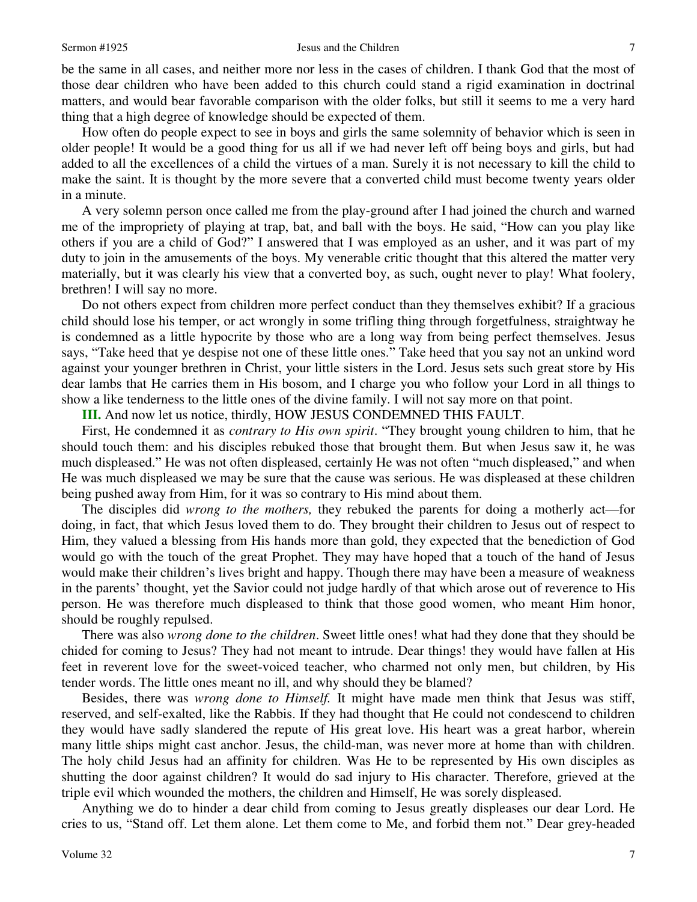be the same in all cases, and neither more nor less in the cases of children. I thank God that the most of those dear children who have been added to this church could stand a rigid examination in doctrinal matters, and would bear favorable comparison with the older folks, but still it seems to me a very hard thing that a high degree of knowledge should be expected of them.

 How often do people expect to see in boys and girls the same solemnity of behavior which is seen in older people! It would be a good thing for us all if we had never left off being boys and girls, but had added to all the excellences of a child the virtues of a man. Surely it is not necessary to kill the child to make the saint. It is thought by the more severe that a converted child must become twenty years older in a minute.

 A very solemn person once called me from the play-ground after I had joined the church and warned me of the impropriety of playing at trap, bat, and ball with the boys. He said, "How can you play like others if you are a child of God?" I answered that I was employed as an usher, and it was part of my duty to join in the amusements of the boys. My venerable critic thought that this altered the matter very materially, but it was clearly his view that a converted boy, as such, ought never to play! What foolery, brethren! I will say no more.

 Do not others expect from children more perfect conduct than they themselves exhibit? If a gracious child should lose his temper, or act wrongly in some trifling thing through forgetfulness, straightway he is condemned as a little hypocrite by those who are a long way from being perfect themselves. Jesus says, "Take heed that ye despise not one of these little ones." Take heed that you say not an unkind word against your younger brethren in Christ, your little sisters in the Lord. Jesus sets such great store by His dear lambs that He carries them in His bosom, and I charge you who follow your Lord in all things to show a like tenderness to the little ones of the divine family. I will not say more on that point.

**III.** And now let us notice, thirdly, HOW JESUS CONDEMNED THIS FAULT.

 First, He condemned it as *contrary to His own spirit*. "They brought young children to him, that he should touch them: and his disciples rebuked those that brought them. But when Jesus saw it, he was much displeased." He was not often displeased, certainly He was not often "much displeased," and when He was much displeased we may be sure that the cause was serious. He was displeased at these children being pushed away from Him, for it was so contrary to His mind about them.

 The disciples did *wrong to the mothers,* they rebuked the parents for doing a motherly act—for doing, in fact, that which Jesus loved them to do. They brought their children to Jesus out of respect to Him, they valued a blessing from His hands more than gold, they expected that the benediction of God would go with the touch of the great Prophet. They may have hoped that a touch of the hand of Jesus would make their children's lives bright and happy. Though there may have been a measure of weakness in the parents' thought, yet the Savior could not judge hardly of that which arose out of reverence to His person. He was therefore much displeased to think that those good women, who meant Him honor, should be roughly repulsed.

 There was also *wrong done to the children*. Sweet little ones! what had they done that they should be chided for coming to Jesus? They had not meant to intrude. Dear things! they would have fallen at His feet in reverent love for the sweet-voiced teacher, who charmed not only men, but children, by His tender words. The little ones meant no ill, and why should they be blamed?

 Besides, there was *wrong done to Himself.* It might have made men think that Jesus was stiff, reserved, and self-exalted, like the Rabbis. If they had thought that He could not condescend to children they would have sadly slandered the repute of His great love. His heart was a great harbor, wherein many little ships might cast anchor. Jesus, the child-man, was never more at home than with children. The holy child Jesus had an affinity for children. Was He to be represented by His own disciples as shutting the door against children? It would do sad injury to His character. Therefore, grieved at the triple evil which wounded the mothers, the children and Himself, He was sorely displeased.

 Anything we do to hinder a dear child from coming to Jesus greatly displeases our dear Lord. He cries to us, "Stand off. Let them alone. Let them come to Me, and forbid them not." Dear grey-headed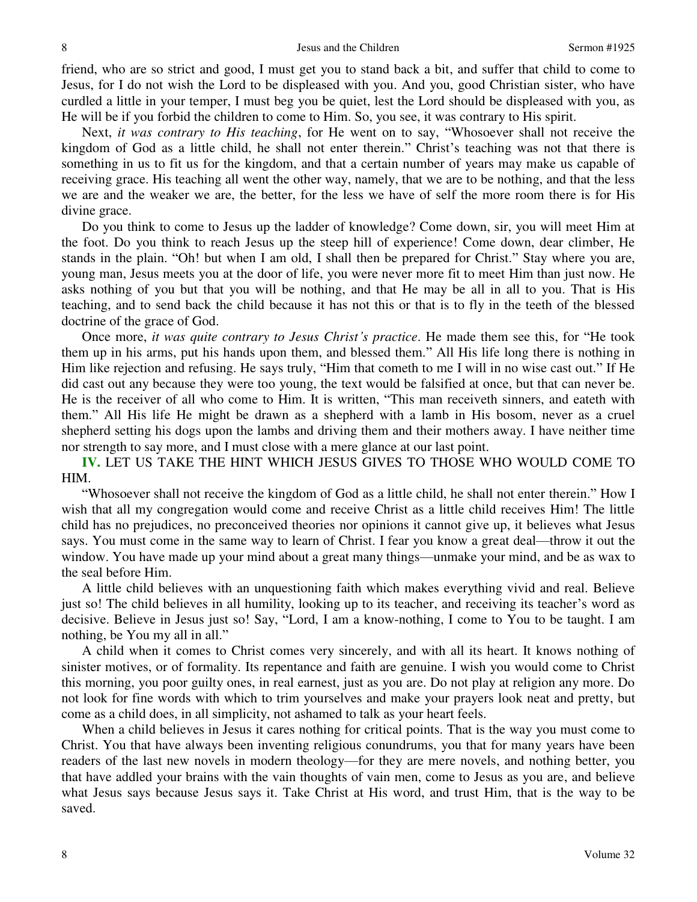friend, who are so strict and good, I must get you to stand back a bit, and suffer that child to come to Jesus, for I do not wish the Lord to be displeased with you. And you, good Christian sister, who have curdled a little in your temper, I must beg you be quiet, lest the Lord should be displeased with you, as He will be if you forbid the children to come to Him. So, you see, it was contrary to His spirit.

 Next, *it was contrary to His teaching*, for He went on to say, "Whosoever shall not receive the kingdom of God as a little child, he shall not enter therein." Christ's teaching was not that there is something in us to fit us for the kingdom, and that a certain number of years may make us capable of receiving grace. His teaching all went the other way, namely, that we are to be nothing, and that the less we are and the weaker we are, the better, for the less we have of self the more room there is for His divine grace.

 Do you think to come to Jesus up the ladder of knowledge? Come down, sir, you will meet Him at the foot. Do you think to reach Jesus up the steep hill of experience! Come down, dear climber, He stands in the plain. "Oh! but when I am old, I shall then be prepared for Christ." Stay where you are, young man, Jesus meets you at the door of life, you were never more fit to meet Him than just now. He asks nothing of you but that you will be nothing, and that He may be all in all to you. That is His teaching, and to send back the child because it has not this or that is to fly in the teeth of the blessed doctrine of the grace of God.

 Once more, *it was quite contrary to Jesus Christ's practice*. He made them see this, for "He took them up in his arms, put his hands upon them, and blessed them." All His life long there is nothing in Him like rejection and refusing. He says truly, "Him that cometh to me I will in no wise cast out." If He did cast out any because they were too young, the text would be falsified at once, but that can never be. He is the receiver of all who come to Him. It is written, "This man receiveth sinners, and eateth with them." All His life He might be drawn as a shepherd with a lamb in His bosom, never as a cruel shepherd setting his dogs upon the lambs and driving them and their mothers away. I have neither time nor strength to say more, and I must close with a mere glance at our last point.

**IV.** LET US TAKE THE HINT WHICH JESUS GIVES TO THOSE WHO WOULD COME TO HIM.

"Whosoever shall not receive the kingdom of God as a little child, he shall not enter therein." How I wish that all my congregation would come and receive Christ as a little child receives Him! The little child has no prejudices, no preconceived theories nor opinions it cannot give up, it believes what Jesus says. You must come in the same way to learn of Christ. I fear you know a great deal—throw it out the window. You have made up your mind about a great many things—unmake your mind, and be as wax to the seal before Him.

 A little child believes with an unquestioning faith which makes everything vivid and real. Believe just so! The child believes in all humility, looking up to its teacher, and receiving its teacher's word as decisive. Believe in Jesus just so! Say, "Lord, I am a know-nothing, I come to You to be taught. I am nothing, be You my all in all."

 A child when it comes to Christ comes very sincerely, and with all its heart. It knows nothing of sinister motives, or of formality. Its repentance and faith are genuine. I wish you would come to Christ this morning, you poor guilty ones, in real earnest, just as you are. Do not play at religion any more. Do not look for fine words with which to trim yourselves and make your prayers look neat and pretty, but come as a child does, in all simplicity, not ashamed to talk as your heart feels.

 When a child believes in Jesus it cares nothing for critical points. That is the way you must come to Christ. You that have always been inventing religious conundrums, you that for many years have been readers of the last new novels in modern theology—for they are mere novels, and nothing better, you that have addled your brains with the vain thoughts of vain men, come to Jesus as you are, and believe what Jesus says because Jesus says it. Take Christ at His word, and trust Him, that is the way to be saved.